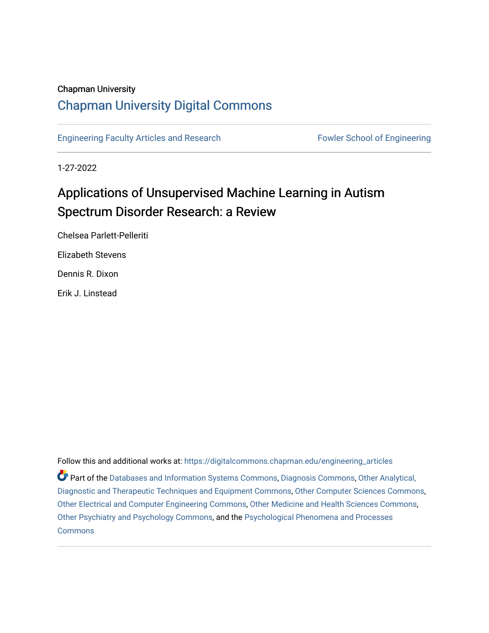### Chapman University

## [Chapman University Digital Commons](https://digitalcommons.chapman.edu/)

[Engineering Faculty Articles and Research](https://digitalcommons.chapman.edu/engineering_articles) Fowler School of Engineering

1-27-2022

# Applications of Unsupervised Machine Learning in Autism Spectrum Disorder Research: a Review

Chelsea Parlett-Pelleriti Elizabeth Stevens

Dennis R. Dixon

Erik J. Linstead

Follow this and additional works at: [https://digitalcommons.chapman.edu/engineering\\_articles](https://digitalcommons.chapman.edu/engineering_articles?utm_source=digitalcommons.chapman.edu%2Fengineering_articles%2F132&utm_medium=PDF&utm_campaign=PDFCoverPages)  Part of the [Databases and Information Systems Commons](http://network.bepress.com/hgg/discipline/145?utm_source=digitalcommons.chapman.edu%2Fengineering_articles%2F132&utm_medium=PDF&utm_campaign=PDFCoverPages), [Diagnosis Commons](http://network.bepress.com/hgg/discipline/945?utm_source=digitalcommons.chapman.edu%2Fengineering_articles%2F132&utm_medium=PDF&utm_campaign=PDFCoverPages), [Other Analytical,](http://network.bepress.com/hgg/discipline/994?utm_source=digitalcommons.chapman.edu%2Fengineering_articles%2F132&utm_medium=PDF&utm_campaign=PDFCoverPages) [Diagnostic and Therapeutic Techniques and Equipment Commons](http://network.bepress.com/hgg/discipline/994?utm_source=digitalcommons.chapman.edu%2Fengineering_articles%2F132&utm_medium=PDF&utm_campaign=PDFCoverPages), [Other Computer Sciences Commons,](http://network.bepress.com/hgg/discipline/152?utm_source=digitalcommons.chapman.edu%2Fengineering_articles%2F132&utm_medium=PDF&utm_campaign=PDFCoverPages) [Other Electrical and Computer Engineering Commons,](http://network.bepress.com/hgg/discipline/278?utm_source=digitalcommons.chapman.edu%2Fengineering_articles%2F132&utm_medium=PDF&utm_campaign=PDFCoverPages) [Other Medicine and Health Sciences Commons](http://network.bepress.com/hgg/discipline/772?utm_source=digitalcommons.chapman.edu%2Fengineering_articles%2F132&utm_medium=PDF&utm_campaign=PDFCoverPages), [Other Psychiatry and Psychology Commons](http://network.bepress.com/hgg/discipline/992?utm_source=digitalcommons.chapman.edu%2Fengineering_articles%2F132&utm_medium=PDF&utm_campaign=PDFCoverPages), and the [Psychological Phenomena and Processes](http://network.bepress.com/hgg/discipline/914?utm_source=digitalcommons.chapman.edu%2Fengineering_articles%2F132&utm_medium=PDF&utm_campaign=PDFCoverPages) **[Commons](http://network.bepress.com/hgg/discipline/914?utm_source=digitalcommons.chapman.edu%2Fengineering_articles%2F132&utm_medium=PDF&utm_campaign=PDFCoverPages)**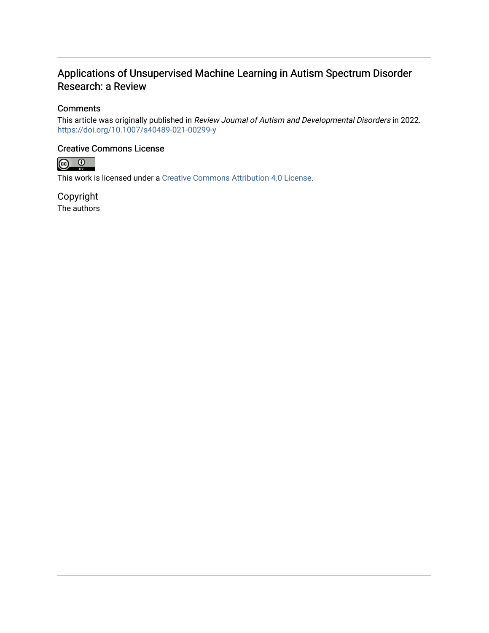## Applications of Unsupervised Machine Learning in Autism Spectrum Disorder Research: a Review

### **Comments**

This article was originally published in Review Journal of Autism and Developmental Disorders in 2022. <https://doi.org/10.1007/s40489-021-00299-y>

### Creative Commons License



This work is licensed under a [Creative Commons Attribution 4.0 License](https://creativecommons.org/licenses/by/4.0/).

Copyright The authors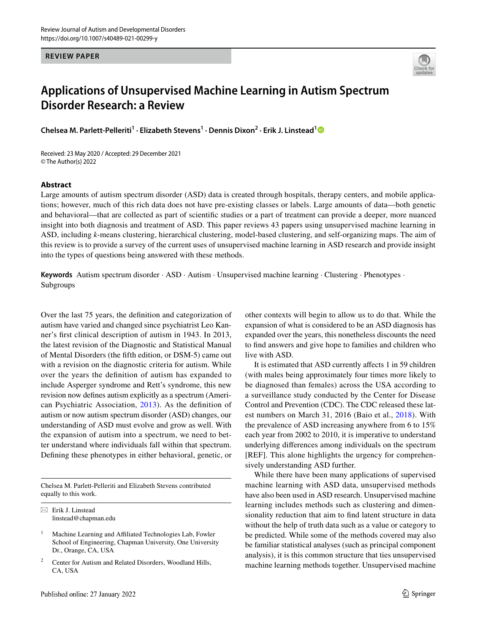**REVIEW PAPER**



## **Applications of Unsupervised Machine Learning in Autism Spectrum Disorder Research: a Review**

**Chelsea M. Parlett‑Pelleriti1 · Elizabeth Stevens1 · Dennis Dixon2 · Erik J. Linstead[1](http://orcid.org/0000-0003-0174-7002)**

Received: 23 May 2020 / Accepted: 29 December 2021 © The Author(s) 2022

#### **Abstract**

Large amounts of autism spectrum disorder (ASD) data is created through hospitals, therapy centers, and mobile applications; however, much of this rich data does not have pre-existing classes or labels. Large amounts of data—both genetic and behavioral—that are collected as part of scientifc studies or a part of treatment can provide a deeper, more nuanced insight into both diagnosis and treatment of ASD. This paper reviews 43 papers using unsupervised machine learning in ASD, including *k*-means clustering, hierarchical clustering, model-based clustering, and self-organizing maps. The aim of this review is to provide a survey of the current uses of unsupervised machine learning in ASD research and provide insight into the types of questions being answered with these methods.

**Keywords** Autism spectrum disorder · ASD · Autism · Unsupervised machine learning · Clustering · Phenotypes · Subgroups

Over the last 75 years, the defnition and categorization of autism have varied and changed since psychiatrist Leo Kanner's frst clinical description of autism in 1943. In 2013, the latest revision of the Diagnostic and Statistical Manual of Mental Disorders (the ffth edition, or DSM-5) came out with a revision on the diagnostic criteria for autism. While over the years the defnition of autism has expanded to include Asperger syndrome and Rett's syndrome, this new revision now defnes autism explicitly as a spectrum (American Psychiatric Association, [2013\)](#page-15-0). As the defnition of autism or now autism spectrum disorder (ASD) changes, our understanding of ASD must evolve and grow as well. With the expansion of autism into a spectrum, we need to better understand where individuals fall within that spectrum. Defning these phenotypes in either behavioral, genetic, or

Chelsea M. Parlett-Pelleriti and Elizabeth Stevens contributed equally to this work.

 $\boxtimes$  Erik J. Linstead linstead@chapman.edu

- <sup>1</sup> Machine Learning and Affiliated Technologies Lab, Fowler School of Engineering, Chapman University, One University Dr., Orange, CA, USA
- <sup>2</sup> Center for Autism and Related Disorders, Woodland Hills, CA, USA

other contexts will begin to allow us to do that. While the expansion of what is considered to be an ASD diagnosis has expanded over the years, this nonetheless discounts the need to fnd answers and give hope to families and children who live with ASD.

It is estimated that ASD currently afects 1 in 59 children (with males being approximately four times more likely to be diagnosed than females) across the USA according to a surveillance study conducted by the Center for Disease Control and Prevention (CDC). The CDC released these latest numbers on March 31, 2016 (Baio et al., [2018\)](#page-15-1). With the prevalence of ASD increasing anywhere from 6 to 15% each year from 2002 to 2010, it is imperative to understand underlying diferences among individuals on the spectrum [REF]. This alone highlights the urgency for comprehensively understanding ASD further.

While there have been many applications of supervised machine learning with ASD data, unsupervised methods have also been used in ASD research. Unsupervised machine learning includes methods such as clustering and dimensionality reduction that aim to fnd latent structure in data without the help of truth data such as a value or category to be predicted. While some of the methods covered may also be familiar statistical analyses (such as principal component analysis), it is this common structure that ties unsupervised machine learning methods together. Unsupervised machine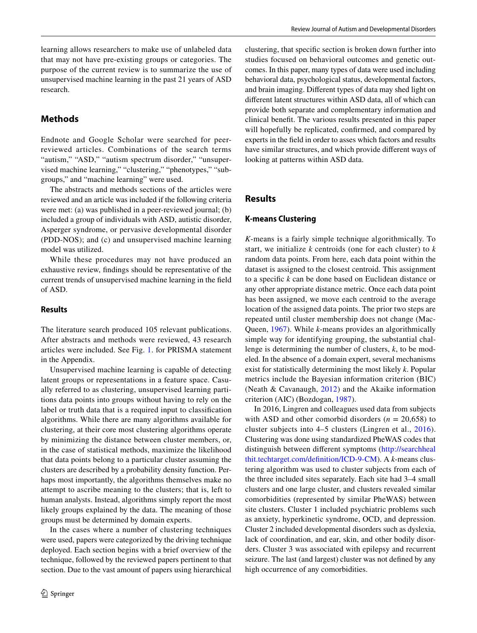learning allows researchers to make use of unlabeled data that may not have pre-existing groups or categories. The purpose of the current review is to summarize the use of unsupervised machine learning in the past 21 years of ASD research.

### **Methods**

Endnote and Google Scholar were searched for peerreviewed articles. Combinations of the search terms "autism," "ASD," "autism spectrum disorder," "unsupervised machine learning," "clustering," "phenotypes," "subgroups," and "machine learning" were used.

The abstracts and methods sections of the articles were reviewed and an article was included if the following criteria were met: (a) was published in a peer-reviewed journal; (b) included a group of individuals with ASD, autistic disorder, Asperger syndrome, or pervasive developmental disorder (PDD-NOS); and (c) and unsupervised machine learning model was utilized.

While these procedures may not have produced an exhaustive review, fndings should be representative of the current trends of unsupervised machine learning in the feld of ASD.

#### **Results**

The literature search produced 105 relevant publications. After abstracts and methods were reviewed, 43 research articles were included. See Fig. [1](#page-13-0). for PRISMA statement in the Appendix.

Unsupervised machine learning is capable of detecting latent groups or representations in a feature space. Casually referred to as clustering, unsupervised learning partitions data points into groups without having to rely on the label or truth data that is a required input to classifcation algorithms. While there are many algorithms available for clustering, at their core most clustering algorithms operate by minimizing the distance between cluster members, or, in the case of statistical methods, maximize the likelihood that data points belong to a particular cluster assuming the clusters are described by a probability density function. Perhaps most importantly, the algorithms themselves make no attempt to ascribe meaning to the clusters; that is, left to human analysts. Instead, algorithms simply report the most likely groups explained by the data. The meaning of those groups must be determined by domain experts.

In the cases where a number of clustering techniques were used, papers were categorized by the driving technique deployed. Each section begins with a brief overview of the technique, followed by the reviewed papers pertinent to that section. Due to the vast amount of papers using hierarchical clustering, that specifc section is broken down further into studies focused on behavioral outcomes and genetic outcomes. In this paper, many types of data were used including behavioral data, psychological status, developmental factors, and brain imaging. Diferent types of data may shed light on diferent latent structures within ASD data, all of which can provide both separate and complementary information and clinical beneft. The various results presented in this paper will hopefully be replicated, confrmed, and compared by experts in the feld in order to asses which factors and results have similar structures, and which provide diferent ways of looking at patterns within ASD data.

#### **Results**

#### **K‑means Clustering**

*K*-means is a fairly simple technique algorithmically. To start, we initialize *k* centroids (one for each cluster) to *k* random data points. From here, each data point within the dataset is assigned to the closest centroid. This assignment to a specifc *k* can be done based on Euclidean distance or any other appropriate distance metric. Once each data point has been assigned, we move each centroid to the average location of the assigned data points. The prior two steps are repeated until cluster membership does not change (Mac-Queen, [1967](#page-17-0)). While *k*-means provides an algorithmically simple way for identifying grouping, the substantial challenge is determining the number of clusters, *k*, to be modeled. In the absence of a domain expert, several mechanisms exist for statistically determining the most likely *k*. Popular metrics include the Bayesian information criterion (BIC) (Neath & Cavanaugh, [2012](#page-16-0)) and the Akaike information criterion (AIC) (Bozdogan, [1987](#page-16-1)).

In 2016, Lingren and colleagues used data from subjects with ASD and other comorbid disorders  $(n = 20,658)$  to cluster subjects into 4–5 clusters (Lingren et al., [2016](#page-16-2)). Clustering was done using standardized PheWAS codes that distinguish between diferent symptoms [\(http://searchheal](http://searchhealthit.techtarget.com/definition/ICD-9-CM) [thit.techtarget.com/defnition/ICD-9-CM\)](http://searchhealthit.techtarget.com/definition/ICD-9-CM). A *k*-means clustering algorithm was used to cluster subjects from each of the three included sites separately. Each site had 3–4 small clusters and one large cluster, and clusters revealed similar comorbidities (represented by similar PheWAS) between site clusters. Cluster 1 included psychiatric problems such as anxiety, hyperkinetic syndrome, OCD, and depression. Cluster 2 included developmental disorders such as dyslexia, lack of coordination, and ear, skin, and other bodily disorders. Cluster 3 was associated with epilepsy and recurrent seizure. The last (and largest) cluster was not defned by any high occurrence of any comorbidities.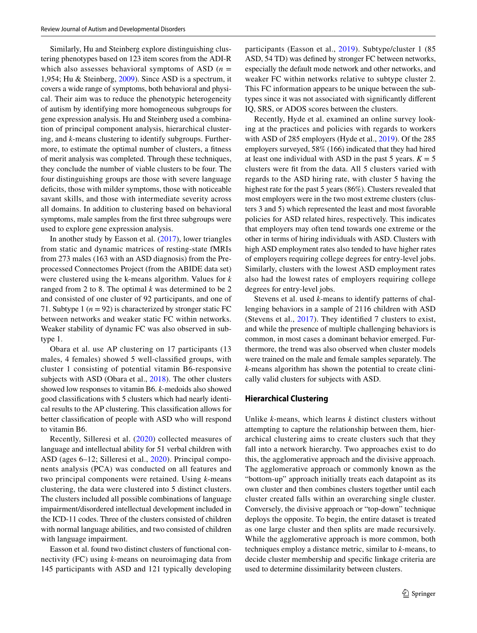Similarly, Hu and Steinberg explore distinguishing clustering phenotypes based on 123 item scores from the ADI-R which also assesses behavioral symptoms of ASD  $(n =$ 1,954; Hu & Steinberg, [2009](#page-16-3)). Since ASD is a spectrum, it covers a wide range of symptoms, both behavioral and physical. Their aim was to reduce the phenotypic heterogeneity of autism by identifying more homogeneous subgroups for gene expression analysis. Hu and Steinberg used a combination of principal component analysis, hierarchical clustering, and *k*-means clustering to identify subgroups. Furthermore, to estimate the optimal number of clusters, a ftness of merit analysis was completed. Through these techniques, they conclude the number of viable clusters to be four. The four distinguishing groups are those with severe language deficits, those with milder symptoms, those with noticeable savant skills, and those with intermediate severity across all domains. In addition to clustering based on behavioral symptoms, male samples from the frst three subgroups were used to explore gene expression analysis.

In another study by Easson et al. [\(2017](#page-16-4)), lower triangles from static and dynamic matrices of resting-state fMRIs from 273 males (163 with an ASD diagnosis) from the Preprocessed Connectomes Project (from the ABIDE data set) were clustered using the k-means algorithm. Values for *k* ranged from 2 to 8. The optimal *k* was determined to be 2 and consisted of one cluster of 92 participants, and one of 71. Subtype 1  $(n = 92)$  is characterized by stronger static FC between networks and weaker static FC within networks. Weaker stability of dynamic FC was also observed in subtype 1.

Obara et al. use AP clustering on 17 participants (13 males, 4 females) showed 5 well-classifed groups, with cluster 1 consisting of potential vitamin B6-responsive subjects with ASD (Obara et al., [2018](#page-16-5)). The other clusters showed low responses to vitamin B6. *k*-medoids also showed good classifcations with 5 clusters which had nearly identical results to the AP clustering. This classifcation allows for better classifcation of people with ASD who will respond to vitamin B6.

Recently, Silleresi et al. ([2020\)](#page-17-1) collected measures of language and intellectual ability for 51 verbal children with ASD (ages 6–12; Silleresi et al., [2020\)](#page-17-1). Principal components analysis (PCA) was conducted on all features and two principal components were retained. Using *k*-means clustering, the data were clustered into 5 distinct clusters. The clusters included all possible combinations of language impairment/disordered intellectual development included in the ICD-11 codes. Three of the clusters consisted of children with normal language abilities, and two consisted of children with language impairment.

Easson et al. found two distinct clusters of functional connectivity (FC) using *k*-means on neuroimaging data from 145 participants with ASD and 121 typically developing

participants (Easson et al., [2019\)](#page-16-6). Subtype/cluster 1 (85 ASD, 54 TD) was defned by stronger FC between networks, especially the default mode network and other networks, and weaker FC within networks relative to subtype cluster 2. This FC information appears to be unique between the subtypes since it was not associated with signifcantly diferent IQ, SRS, or ADOS scores between the clusters.

Recently, Hyde et al. examined an online survey looking at the practices and policies with regards to workers with ASD of 285 employers (Hyde et al., [2019](#page-16-7)). Of the 285 employers surveyed, 58% (166) indicated that they had hired at least one individual with ASD in the past 5 years.  $K = 5$ clusters were ft from the data. All 5 clusters varied with regards to the ASD hiring rate, with cluster 5 having the highest rate for the past 5 years (86%). Clusters revealed that most employers were in the two most extreme clusters (clusters 3 and 5) which represented the least and most favorable policies for ASD related hires, respectively. This indicates that employers may often tend towards one extreme or the other in terms of hiring individuals with ASD. Clusters with high ASD employment rates also tended to have higher rates of employers requiring college degrees for entry-level jobs. Similarly, clusters with the lowest ASD employment rates also had the lowest rates of employers requiring college degrees for entry-level jobs.

Stevens et al. used *k*-means to identify patterns of challenging behaviors in a sample of 2116 children with ASD (Stevens et al., [2017\)](#page-17-2). They identifed 7 clusters to exist, and while the presence of multiple challenging behaviors is common, in most cases a dominant behavior emerged. Furthermore, the trend was also observed when cluster models were trained on the male and female samples separately. The *k*-means algorithm has shown the potential to create clinically valid clusters for subjects with ASD.

#### **Hierarchical Clustering**

Unlike *k*-means, which learns *k* distinct clusters without attempting to capture the relationship between them, hierarchical clustering aims to create clusters such that they fall into a network hierarchy. Two approaches exist to do this, the agglomerative approach and the divisive approach. The agglomerative approach or commonly known as the "bottom-up" approach initially treats each datapoint as its own cluster and then combines clusters together until each cluster created falls within an overarching single cluster. Conversely, the divisive approach or "top-down" technique deploys the opposite. To begin, the entire dataset is treated as one large cluster and then splits are made recursively. While the agglomerative approach is more common, both techniques employ a distance metric, similar to *k*-means, to decide cluster membership and specifc linkage criteria are used to determine dissimilarity between clusters.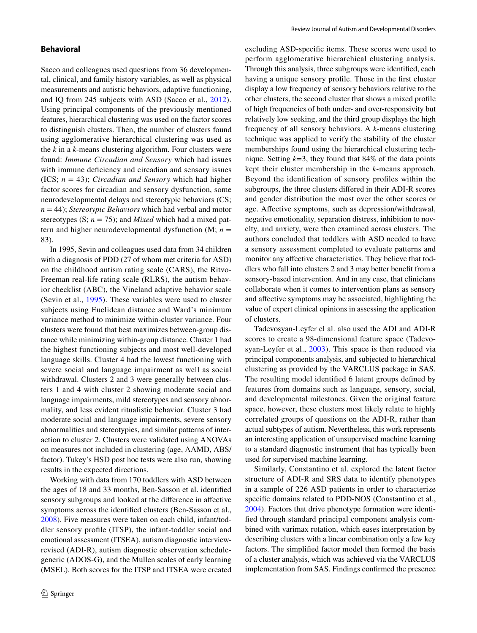#### **Behavioral**

Sacco and colleagues used questions from 36 developmental, clinical, and family history variables, as well as physical measurements and autistic behaviors, adaptive functioning, and IQ from 245 subjects with ASD (Sacco et al., [2012\)](#page-16-8). Using principal components of the previously mentioned features, hierarchical clustering was used on the factor scores to distinguish clusters. Then, the number of clusters found using agglomerative hierarchical clustering was used as the *k* in a *k*-means clustering algorithm. Four clusters were found: *Immune Circadian and Sensory* which had issues with immune defciency and circadian and sensory issues (ICS; *n* = 43); *Circadian and Sensory* which had higher factor scores for circadian and sensory dysfunction, some neurodevelopmental delays and stereotypic behaviors (CS; *n* = 44); *Stereotypic Behaviors* which had verbal and motor stereotypes  $(S; n = 75)$ ; and *Mixed* which had a mixed pattern and higher neurodevelopmental dysfunction  $(M; n =$ 83).

In 1995, Sevin and colleagues used data from 34 children with a diagnosis of PDD (27 of whom met criteria for ASD) on the childhood autism rating scale (CARS), the Ritvo-Freeman real-life rating scale (RLRS), the autism behavior checklist (ABC), the Vineland adaptive behavior scale (Sevin et al., [1995](#page-16-9)). These variables were used to cluster subjects using Euclidean distance and Ward's minimum variance method to minimize within-cluster variance. Four clusters were found that best maximizes between-group distance while minimizing within-group distance. Cluster 1 had the highest functioning subjects and most well-developed language skills. Cluster 4 had the lowest functioning with severe social and language impairment as well as social withdrawal. Clusters 2 and 3 were generally between clusters 1 and 4 with cluster 2 showing moderate social and language impairments, mild stereotypes and sensory abnormality, and less evident ritualistic behavior. Cluster 3 had moderate social and language impairments, severe sensory abnormalities and stereotypies, and similar patterns of interaction to cluster 2. Clusters were validated using ANOVAs on measures not included in clustering (age, AAMD, ABS/ factor). Tukey's HSD post hoc tests were also run, showing results in the expected directions.

Working with data from 170 toddlers with ASD between the ages of 18 and 33 months, Ben-Sasson et al. identifed sensory subgroups and looked at the diference in afective symptoms across the identifed clusters (Ben-Sasson et al., [2008](#page-16-10)). Five measures were taken on each child, infant/toddler sensory profle (ITSP), the infant-toddler social and emotional assessment (ITSEA), autism diagnostic interviewrevised (ADI-R), autism diagnostic observation schedulegeneric (ADOS-G), and the Mullen scales of early learning (MSEL). Both scores for the ITSP and ITSEA were created excluding ASD-specifc items. These scores were used to perform agglomerative hierarchical clustering analysis. Through this analysis, three subgroups were identifed, each having a unique sensory profle. Those in the frst cluster display a low frequency of sensory behaviors relative to the other clusters, the second cluster that shows a mixed profle of high frequencies of both under- and over-responsivity but relatively low seeking, and the third group displays the high frequency of all sensory behaviors. A *k*-means clustering technique was applied to verify the stability of the cluster memberships found using the hierarchical clustering technique. Setting  $k=3$ , they found that 84% of the data points kept their cluster membership in the *k*-means approach. Beyond the identifcation of sensory profles within the subgroups, the three clusters difered in their ADI-R scores and gender distribution the most over the other scores or age. Afective symptoms, such as depression/withdrawal, negative emotionality, separation distress, inhibition to novelty, and anxiety, were then examined across clusters. The authors concluded that toddlers with ASD needed to have a sensory assessment completed to evaluate patterns and monitor any afective characteristics. They believe that toddlers who fall into clusters 2 and 3 may better beneft from a sensory-based intervention. And in any case, that clinicians collaborate when it comes to intervention plans as sensory and afective symptoms may be associated, highlighting the value of expert clinical opinions in assessing the application of clusters.

Tadevosyan-Leyfer el al. also used the ADI and ADI-R scores to create a 98-dimensional feature space (Tadevo-syan-Leyfer et al., [2003\)](#page-17-3). This space is then reduced via principal components analysis, and subjected to hierarchical clustering as provided by the VARCLUS package in SAS. The resulting model identifed 6 latent groups defned by features from domains such as language, sensory, social, and developmental milestones. Given the original feature space, however, these clusters most likely relate to highly correlated groups of questions on the ADI-R, rather than actual subtypes of autism. Nevertheless, this work represents an interesting application of unsupervised machine learning to a standard diagnostic instrument that has typically been used for supervised machine learning.

Similarly, Constantino et al. explored the latent factor structure of ADI-R and SRS data to identify phenotypes in a sample of 226 ASD patients in order to characterize specific domains related to PDD-NOS (Constantino et al., [2004](#page-16-11)). Factors that drive phenotype formation were identifed through standard principal component analysis combined with varimax rotation, which eases interpretation by describing clusters with a linear combination only a few key factors. The simplifed factor model then formed the basis of a cluster analysis, which was achieved via the VARCLUS implementation from SAS. Findings confrmed the presence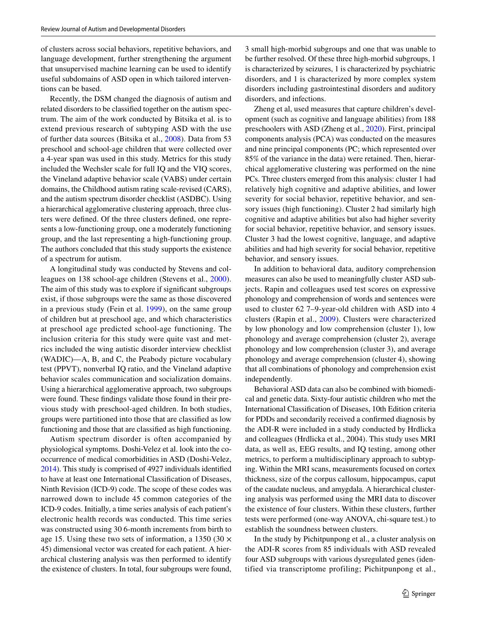of clusters across social behaviors, repetitive behaviors, and language development, further strengthening the argument that unsupervised machine learning can be used to identify useful subdomains of ASD open in which tailored interventions can be based.

Recently, the DSM changed the diagnosis of autism and related disorders to be classifed together on the autism spectrum. The aim of the work conducted by Bitsika et al. is to extend previous research of subtyping ASD with the use of further data sources (Bitsika et al., [2008](#page-16-12)). Data from 53 preschool and school-age children that were collected over a 4-year span was used in this study. Metrics for this study included the Wechsler scale for full IQ and the VIQ scores, the Vineland adaptive behavior scale (VABS) under certain domains, the Childhood autism rating scale-revised (CARS), and the autism spectrum disorder checklist (ASDBC). Using a hierarchical agglomerative clustering approach, three clusters were defned. Of the three clusters defned, one represents a low-functioning group, one a moderately functioning group, and the last representing a high-functioning group. The authors concluded that this study supports the existence of a spectrum for autism.

A longitudinal study was conducted by Stevens and colleagues on 138 school-age children (Stevens et al., [2000](#page-17-4)). The aim of this study was to explore if signifcant subgroups exist, if those subgroups were the same as those discovered in a previous study (Fein et al. [1999\)](#page-17-5), on the same group of children but at preschool age, and which characteristics at preschool age predicted school-age functioning. The inclusion criteria for this study were quite vast and metrics included the wing autistic disorder interview checklist (WADIC)—A, B, and C, the Peabody picture vocabulary test (PPVT), nonverbal IQ ratio, and the Vineland adaptive behavior scales communication and socialization domains. Using a hierarchical agglomerative approach, two subgroups were found. These fndings validate those found in their previous study with preschool-aged children. In both studies, groups were partitioned into those that are classifed as low functioning and those that are classifed as high functioning.

Autism spectrum disorder is often accompanied by physiological symptoms. Doshi-Velez et al. look into the cooccurrence of medical comorbidities in ASD (Doshi-Velez, [2014\)](#page-16-13). This study is comprised of 4927 individuals identifed to have at least one International Classifcation of Diseases, Ninth Revision (ICD-9) code. The scope of these codes was narrowed down to include 45 common categories of the ICD-9 codes. Initially, a time series analysis of each patient's electronic health records was conducted. This time series was constructed using 30 6-month increments from birth to age 15. Using these two sets of information, a 1350 (30  $\times$ 45) dimensional vector was created for each patient. A hierarchical clustering analysis was then performed to identify the existence of clusters. In total, four subgroups were found,

3 small high-morbid subgroups and one that was unable to be further resolved. Of these three high-morbid subgroups, 1 is characterized by seizures, 1 is characterized by psychiatric disorders, and 1 is characterized by more complex system disorders including gastrointestinal disorders and auditory disorders, and infections.

Zheng et al, used measures that capture children's development (such as cognitive and language abilities) from 188 preschoolers with ASD (Zheng et al., [2020\)](#page-17-6). First, principal components analysis (PCA) was conducted on the measures and nine principal components (PC; which represented over 85% of the variance in the data) were retained. Then, hierarchical agglomerative clustering was performed on the nine PCs. Three clusters emerged from this analysis: cluster 1 had relatively high cognitive and adaptive abilities, and lower severity for social behavior, repetitive behavior, and sensory issues (high functioning). Cluster 2 had similarly high cognitive and adaptive abilities but also had higher severity for social behavior, repetitive behavior, and sensory issues. Cluster 3 had the lowest cognitive, language, and adaptive abilities and had high severity for social behavior, repetitive behavior, and sensory issues.

In addition to behavioral data, auditory comprehension measures can also be used to meaningfully cluster ASD subjects. Rapin and colleagues used test scores on expressive phonology and comprehension of words and sentences were used to cluster 62 7–9-year-old children with ASD into 4 clusters (Rapin et al., [2009\)](#page-16-14). Clusters were characterized by low phonology and low comprehension (cluster 1), low phonology and average comprehension (cluster 2), average phonology and low comprehension (cluster 3), and average phonology and average comprehension (cluster 4), showing that all combinations of phonology and comprehension exist independently.

Behavioral ASD data can also be combined with biomedical and genetic data. Sixty-four autistic children who met the International Classifcation of Diseases, 10th Edition criteria for PDDs and secondarily received a confrmed diagnosis by the ADI-R were included in a study conducted by Hrdlicka and colleagues (Hrdlicka et al., 2004). This study uses MRI data, as well as, EEG results, and IQ testing, among other metrics, to perform a multidisciplinary approach to subtyping. Within the MRI scans, measurements focused on cortex thickness, size of the corpus callosum, hippocampus, caput of the caudate nucleus, and amygdala. A hierarchical clustering analysis was performed using the MRI data to discover the existence of four clusters. Within these clusters, further tests were performed (one-way ANOVA, chi-square test.) to establish the soundness between clusters.

In the study by Pichitpunpong et al., a cluster analysis on the ADI-R scores from 85 individuals with ASD revealed four ASD subgroups with various dysregulated genes (identified via transcriptome profiling; Pichitpunpong et al.,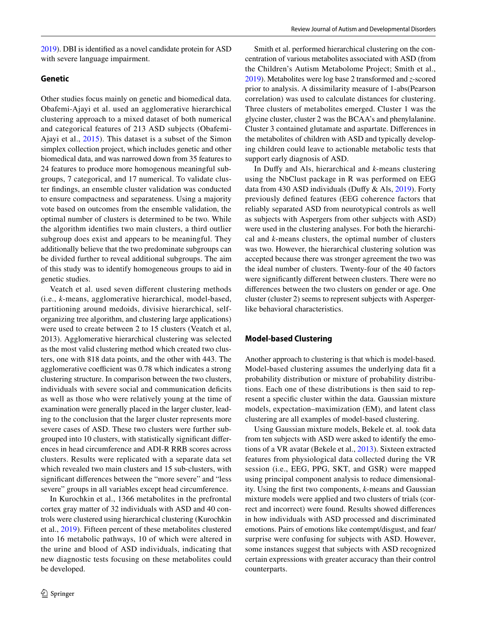[2019\)](#page-16-15). DBI is identifed as a novel candidate protein for ASD with severe language impairment.

#### **Genetic**

Other studies focus mainly on genetic and biomedical data. Obafemi-Ajayi et al. used an agglomerative hierarchical clustering approach to a mixed dataset of both numerical and categorical features of 213 ASD subjects (Obafemi-Ajayi et al., [2015](#page-16-16)). This dataset is a subset of the Simon simplex collection project, which includes genetic and other biomedical data, and was narrowed down from 35 features to 24 features to produce more homogenous meaningful subgroups, 7 categorical, and 17 numerical. To validate cluster fndings, an ensemble cluster validation was conducted to ensure compactness and separateness. Using a majority vote based on outcomes from the ensemble validation, the optimal number of clusters is determined to be two. While the algorithm identifes two main clusters, a third outlier subgroup does exist and appears to be meaningful. They additionally believe that the two predominate subgroups can be divided further to reveal additional subgroups. The aim of this study was to identify homogeneous groups to aid in genetic studies.

Veatch et al. used seven diferent clustering methods (i.e., *k*-means, agglomerative hierarchical, model-based, partitioning around medoids, divisive hierarchical, selforganizing tree algorithm, and clustering large applications) were used to create between 2 to 15 clusters (Veatch et al, 2013). Agglomerative hierarchical clustering was selected as the most valid clustering method which created two clusters, one with 818 data points, and the other with 443. The agglomerative coefficient was 0.78 which indicates a strong clustering structure. In comparison between the two clusters, individuals with severe social and communication deficits as well as those who were relatively young at the time of examination were generally placed in the larger cluster, leading to the conclusion that the larger cluster represents more severe cases of ASD. These two clusters were further subgrouped into 10 clusters, with statistically signifcant diferences in head circumference and ADI-R RRB scores across clusters. Results were replicated with a separate data set which revealed two main clusters and 15 sub-clusters, with signifcant diferences between the "more severe" and "less severe" groups in all variables except head circumference.

In Kurochkin et al., 1366 metabolites in the prefrontal cortex gray matter of 32 individuals with ASD and 40 controls were clustered using hierarchical clustering (Kurochkin et al., [2019](#page-16-17)). Fifteen percent of these metabolites clustered into 16 metabolic pathways, 10 of which were altered in the urine and blood of ASD individuals, indicating that new diagnostic tests focusing on these metabolites could be developed.

Smith et al. performed hierarchical clustering on the concentration of various metabolites associated with ASD (from the Children's Autism Metabolome Project; Smith et al., [2019\)](#page-17-7). Metabolites were log base 2 transformed and *z*-scored prior to analysis. A dissimilarity measure of 1-abs(Pearson correlation) was used to calculate distances for clustering. Three clusters of metabolites emerged. Cluster 1 was the glycine cluster, cluster 2 was the BCAA's and phenylalanine. Cluster 3 contained glutamate and aspartate. Diferences in the metabolites of children with ASD and typically developing children could leave to actionable metabolic tests that support early diagnosis of ASD.

In Dufy and Als, hierarchical and *k*-means clustering using the NbClust package in R was performed on EEG data from 430 ASD individuals (Dufy & Als, [2019\)](#page-16-18). Forty previously defned features (EEG coherence factors that reliably separated ASD from neurotypical controls as well as subjects with Aspergers from other subjects with ASD) were used in the clustering analyses. For both the hierarchical and *k*-means clusters, the optimal number of clusters was two. However, the hierarchical clustering solution was accepted because there was stronger agreement the two was the ideal number of clusters. Twenty-four of the 40 factors were signifcantly diferent between clusters. There were no diferences between the two clusters on gender or age. One cluster (cluster 2) seems to represent subjects with Aspergerlike behavioral characteristics.

#### **Model‑based Clustering**

Another approach to clustering is that which is model-based. Model-based clustering assumes the underlying data ft a probability distribution or mixture of probability distributions. Each one of these distributions is then said to represent a specifc cluster within the data. Gaussian mixture models, expectation–maximization (EM), and latent class clustering are all examples of model-based clustering.

Using Gaussian mixture models, Bekele et. al. took data from ten subjects with ASD were asked to identify the emotions of a VR avatar (Bekele et al., [2013\)](#page-16-19). Sixteen extracted features from physiological data collected during the VR session (i.e., EEG, PPG, SKT, and GSR) were mapped using principal component analysis to reduce dimensionality. Using the frst two components, *k*-means and Gaussian mixture models were applied and two clusters of trials (correct and incorrect) were found. Results showed diferences in how individuals with ASD processed and discriminated emotions. Pairs of emotions like contempt/disgust, and fear/ surprise were confusing for subjects with ASD. However, some instances suggest that subjects with ASD recognized certain expressions with greater accuracy than their control counterparts.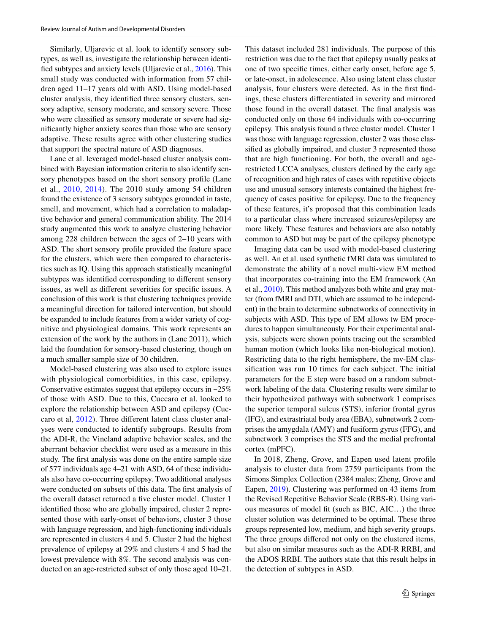Similarly, Uljarevic et al. look to identify sensory subtypes, as well as, investigate the relationship between identifed subtypes and anxiety levels (Uljarevic et al., [2016](#page-17-8)). This small study was conducted with information from 57 children aged 11–17 years old with ASD. Using model-based cluster analysis, they identifed three sensory clusters, sensory adaptive, sensory moderate, and sensory severe. Those who were classifed as sensory moderate or severe had signifcantly higher anxiety scores than those who are sensory adaptive. These results agree with other clustering studies that support the spectral nature of ASD diagnoses.

Lane et al. leveraged model-based cluster analysis combined with Bayesian information criteria to also identify sensory phenotypes based on the short sensory profle (Lane et al., [2010](#page-16-20), [2014\)](#page-16-21). The 2010 study among 54 children found the existence of 3 sensory subtypes grounded in taste, smell, and movement, which had a correlation to maladaptive behavior and general communication ability. The 2014 study augmented this work to analyze clustering behavior among 228 children between the ages of 2–10 years with ASD. The short sensory profle provided the feature space for the clusters, which were then compared to characteristics such as IQ. Using this approach statistically meaningful subtypes was identifed corresponding to diferent sensory issues, as well as diferent severities for specifc issues. A conclusion of this work is that clustering techniques provide a meaningful direction for tailored intervention, but should be expanded to include features from a wider variety of cognitive and physiological domains. This work represents an extension of the work by the authors in (Lane 2011), which laid the foundation for sensory-based clustering, though on a much smaller sample size of 30 children.

Model-based clustering was also used to explore issues with physiological comorbidities, in this case, epilepsy. Conservative estimates suggest that epilepsy occurs in ~25% of those with ASD. Due to this, Cuccaro et al. looked to explore the relationship between ASD and epilepsy (Cuccaro et al, [2012\)](#page-16-22). Three diferent latent class cluster analyses were conducted to identify subgroups. Results from the ADI-R, the Vineland adaptive behavior scales, and the aberrant behavior checklist were used as a measure in this study. The frst analysis was done on the entire sample size of 577 individuals age 4–21 with ASD, 64 of these individuals also have co-occurring epilepsy. Two additional analyses were conducted on subsets of this data. The frst analysis of the overall dataset returned a five cluster model. Cluster 1 identifed those who are globally impaired, cluster 2 represented those with early-onset of behaviors, cluster 3 those with language regression, and high-functioning individuals are represented in clusters 4 and 5. Cluster 2 had the highest prevalence of epilepsy at 29% and clusters 4 and 5 had the lowest prevalence with 8%. The second analysis was conducted on an age-restricted subset of only those aged 10–21. This dataset included 281 individuals. The purpose of this restriction was due to the fact that epilepsy usually peaks at one of two specifc times, either early onset, before age 5, or late-onset, in adolescence. Also using latent class cluster analysis, four clusters were detected. As in the frst fndings, these clusters diferentiated in severity and mirrored those found in the overall dataset. The fnal analysis was conducted only on those 64 individuals with co-occurring epilepsy. This analysis found a three cluster model. Cluster 1 was those with language regression, cluster 2 was those classifed as globally impaired, and cluster 3 represented those that are high functioning. For both, the overall and agerestricted LCCA analyses, clusters defned by the early age of recognition and high rates of cases with repetitive objects use and unusual sensory interests contained the highest frequency of cases positive for epilepsy. Due to the frequency of these features, it's proposed that this combination leads to a particular class where increased seizures/epilepsy are more likely. These features and behaviors are also notably common to ASD but may be part of the epilepsy phenotype

Imaging data can be used with model-based clustering as well. An et al. used synthetic fMRI data was simulated to demonstrate the ability of a novel multi-view EM method that incorporates co-training into the EM framework (An et al., [2010\)](#page-15-2). This method analyzes both white and gray matter (from fMRI and DTI, which are assumed to be independent) in the brain to determine subnetworks of connectivity in subjects with ASD. This type of EM allows tw EM procedures to happen simultaneously. For their experimental analysis, subjects were shown points tracing out the scrambled human motion (which looks like non-biological motion). Restricting data to the right hemisphere, the mv-EM classifcation was run 10 times for each subject. The initial parameters for the E step were based on a random subnetwork labeling of the data. Clustering results were similar to their hypothesized pathways with subnetwork 1 comprises the superior temporal sulcus (STS), inferior frontal gyrus (IFG), and extrastriatal body area (EBA), subnetwork 2 comprises the amygdala (AMY) and fusiform gyrus (FFG), and subnetwork 3 comprises the STS and the medial prefrontal cortex (mPFC).

In 2018, Zheng, Grove, and Eapen used latent profle analysis to cluster data from 2759 participants from the Simons Simplex Collection (2384 males; Zheng, Grove and Eapen, [2019\)](#page-17-9). Clustering was performed on 43 items from the Revised Repetitive Behavior Scale (RBS-R). Using various measures of model ft (such as BIC, AIC…) the three cluster solution was determined to be optimal. These three groups represented low, medium, and high severity groups. The three groups difered not only on the clustered items, but also on similar measures such as the ADI-R RRBI, and the ADOS RRBI. The authors state that this result helps in the detection of subtypes in ASD.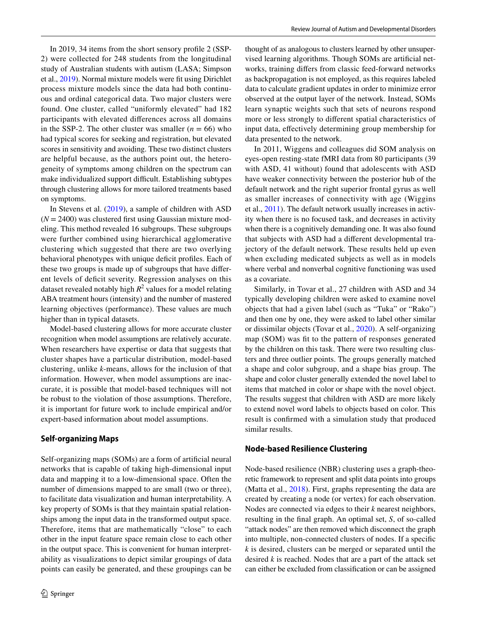In 2019, 34 items from the short sensory profle 2 (SSP-2) were collected for 248 students from the longitudinal study of Australian students with autism (LASA; Simpson et al., [2019](#page-17-10)). Normal mixture models were ft using Dirichlet process mixture models since the data had both continuous and ordinal categorical data. Two major clusters were found. One cluster, called "uniformly elevated" had 182 participants with elevated diferences across all domains in the SSP-2. The other cluster was smaller  $(n = 66)$  who had typical scores for seeking and registration, but elevated scores in sensitivity and avoiding. These two distinct clusters are helpful because, as the authors point out, the heterogeneity of symptoms among children on the spectrum can make individualized support difficult. Establishing subtypes through clustering allows for more tailored treatments based on symptoms.

In Stevens et al. [\(2019\)](#page-17-11), a sample of children with ASD  $(N = 2400)$  was clustered first using Gaussian mixture modeling. This method revealed 16 subgroups. These subgroups were further combined using hierarchical agglomerative clustering which suggested that there are two overlying behavioral phenotypes with unique deficit profiles. Each of these two groups is made up of subgroups that have diferent levels of defcit severity. Regression analyses on this dataset revealed notably high  $R^2$  values for a model relating ABA treatment hours (intensity) and the number of mastered learning objectives (performance). These values are much higher than in typical datasets.

Model-based clustering allows for more accurate cluster recognition when model assumptions are relatively accurate. When researchers have expertise or data that suggests that cluster shapes have a particular distribution, model-based clustering, unlike *k*-means, allows for the inclusion of that information. However, when model assumptions are inaccurate, it is possible that model-based techniques will not be robust to the violation of those assumptions. Therefore, it is important for future work to include empirical and/or expert-based information about model assumptions.

#### **Self‑organizing Maps**

Self-organizing maps (SOMs) are a form of artifcial neural networks that is capable of taking high-dimensional input data and mapping it to a low-dimensional space. Often the number of dimensions mapped to are small (two or three), to facilitate data visualization and human interpretability. A key property of SOMs is that they maintain spatial relationships among the input data in the transformed output space. Therefore, items that are mathematically "close" to each other in the input feature space remain close to each other in the output space. This is convenient for human interpretability as visualizations to depict similar groupings of data points can easily be generated, and these groupings can be thought of as analogous to clusters learned by other unsupervised learning algorithms. Though SOMs are artifcial networks, training difers from classic feed-forward networks as backpropagation is not employed, as this requires labeled data to calculate gradient updates in order to minimize error observed at the output layer of the network. Instead, SOMs learn synaptic weights such that sets of neurons respond more or less strongly to diferent spatial characteristics of input data, efectively determining group membership for data presented to the network.

In 2011, Wiggens and colleagues did SOM analysis on eyes-open resting-state fMRI data from 80 participants (39 with ASD, 41 without) found that adolescents with ASD have weaker connectivity between the posterior hub of the default network and the right superior frontal gyrus as well as smaller increases of connectivity with age (Wiggins et al., [2011](#page-17-12)). The default network usually increases in activity when there is no focused task, and decreases in activity when there is a cognitively demanding one. It was also found that subjects with ASD had a diferent developmental trajectory of the default network. These results held up even when excluding medicated subjects as well as in models where verbal and nonverbal cognitive functioning was used as a covariate.

Similarly, in Tovar et al., 27 children with ASD and 34 typically developing children were asked to examine novel objects that had a given label (such as "Tuka" or "Rako") and then one by one, they were asked to label other similar or dissimilar objects (Tovar et al., [2020](#page-17-13)). A self-organizing map (SOM) was ft to the pattern of responses generated by the children on this task. There were two resulting clusters and three outlier points. The groups generally matched a shape and color subgroup, and a shape bias group. The shape and color cluster generally extended the novel label to items that matched in color or shape with the novel object. The results suggest that children with ASD are more likely to extend novel word labels to objects based on color. This result is confrmed with a simulation study that produced similar results.

#### **Node‑based Resilience Clustering**

Node-based resilience (NBR) clustering uses a graph-theoretic framework to represent and split data points into groups (Matta et al., [2018\)](#page-16-23). First, graphs representing the data are created by creating a node (or vertex) for each observation. Nodes are connected via edges to their *k* nearest neighbors, resulting in the fnal graph. An optimal set, *S*, of so-called "attack nodes" are then removed which disconnect the graph into multiple, non-connected clusters of nodes. If a specifc *k* is desired, clusters can be merged or separated until the desired *k* is reached. Nodes that are a part of the attack set can either be excluded from classifcation or can be assigned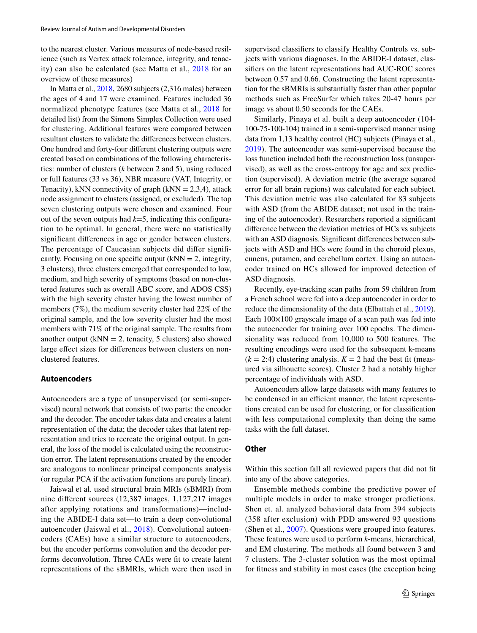to the nearest cluster. Various measures of node-based resilience (such as Vertex attack tolerance, integrity, and tenacity) can also be calculated (see Matta et al., [2018](#page-16-23) for an overview of these measures)

In Matta et al., [2018,](#page-16-23) 2680 subjects (2,316 males) between the ages of 4 and 17 were examined. Features included 36 normalized phenotype features (see Matta et al., [2018](#page-16-23) for detailed list) from the Simons Simplex Collection were used for clustering. Additional features were compared between resultant clusters to validate the diferences between clusters. One hundred and forty-four diferent clustering outputs were created based on combinations of the following characteristics: number of clusters (*k* between 2 and 5), using reduced or full features (33 vs 36), NBR measure (VAT, Integrity, or Tenacity), kNN connectivity of graph  $(kNN = 2,3,4)$ , attack node assignment to clusters (assigned, or excluded). The top seven clustering outputs were chosen and examined. Four out of the seven outputs had  $k=5$ , indicating this configuration to be optimal. In general, there were no statistically signifcant diferences in age or gender between clusters. The percentage of Caucasian subjects did difer signifcantly. Focusing on one specific output  $(kNN = 2$ , integrity, 3 clusters), three clusters emerged that corresponded to low, medium, and high severity of symptoms (based on non-clustered features such as overall ABC score, and ADOS CSS) with the high severity cluster having the lowest number of members (7%), the medium severity cluster had 22% of the original sample, and the low severity cluster had the most members with 71% of the original sample. The results from another output ( $kNN = 2$ , tenacity, 5 clusters) also showed large efect sizes for diferences between clusters on nonclustered features.

#### **Autoencoders**

Autoencoders are a type of unsupervised (or semi-supervised) neural network that consists of two parts: the encoder and the decoder. The encoder takes data and creates a latent representation of the data; the decoder takes that latent representation and tries to recreate the original output. In general, the loss of the model is calculated using the reconstruction error. The latent representations created by the encoder are analogous to nonlinear principal components analysis (or regular PCA if the activation functions are purely linear).

Jaiswal et al. used structural brain MRIs (sBMRI) from nine diferent sources (12,387 images, 1,127,217 images after applying rotations and transformations)—including the ABIDE-I data set—to train a deep convolutional autoencoder (Jaiswal et al., [2018\)](#page-16-24). Convolutional autoencoders (CAEs) have a similar structure to autoencoders, but the encoder performs convolution and the decoder performs deconvolution. Three CAEs were ft to create latent representations of the sBMRIs, which were then used in supervised classifers to classify Healthy Controls vs. subjects with various diagnoses. In the ABIDE-I dataset, classifers on the latent representations had AUC-ROC scores between 0.57 and 0.66. Constructing the latent representation for the sBMRIs is substantially faster than other popular methods such as FreeSurfer which takes 20-47 hours per image vs about 0.50 seconds for the CAEs.

Similarly, Pinaya et al. built a deep autoencoder (104- 100-75-100-104) trained in a semi-supervised manner using data from 1,13 healthy control (HC) subjects (Pinaya et al., [2019\)](#page-16-25). The autoencoder was semi-supervised because the loss function included both the reconstruction loss (unsupervised), as well as the cross-entropy for age and sex prediction (supervised). A deviation metric (the average squared error for all brain regions) was calculated for each subject. This deviation metric was also calculated for 83 subjects with ASD (from the ABIDE dataset; not used in the training of the autoencoder). Researchers reported a signifcant diference between the deviation metrics of HCs vs subjects with an ASD diagnosis. Significant differences between subjects with ASD and HCs were found in the choroid plexus, cuneus, putamen, and cerebellum cortex. Using an autoencoder trained on HCs allowed for improved detection of ASD diagnosis.

Recently, eye-tracking scan paths from 59 children from a French school were fed into a deep autoencoder in order to reduce the dimensionality of the data (Elbattah et al., [2019](#page-16-26)). Each  $100\times100$  grayscale image of a scan path was fed into the autoencoder for training over 100 epochs. The dimensionality was reduced from 10,000 to 500 features. The resulting encodings were used for the subsequent k-means  $(k = 2:4)$  clustering analysis.  $K = 2$  had the best fit (measured via silhouette scores). Cluster 2 had a notably higher percentage of individuals with ASD.

Autoencoders allow large datasets with many features to be condensed in an efficient manner, the latent representations created can be used for clustering, or for classifcation with less computational complexity than doing the same tasks with the full dataset.

#### **Other**

Within this section fall all reviewed papers that did not ft into any of the above categories.

Ensemble methods combine the predictive power of multiple models in order to make stronger predictions. Shen et. al. analyzed behavioral data from 394 subjects (358 after exclusion) with PDD answered 93 questions (Shen et al., [2007\)](#page-16-27). Questions were grouped into features. These features were used to perform *k*-means, hierarchical, and EM clustering. The methods all found between 3 and 7 clusters. The 3-cluster solution was the most optimal for ftness and stability in most cases (the exception being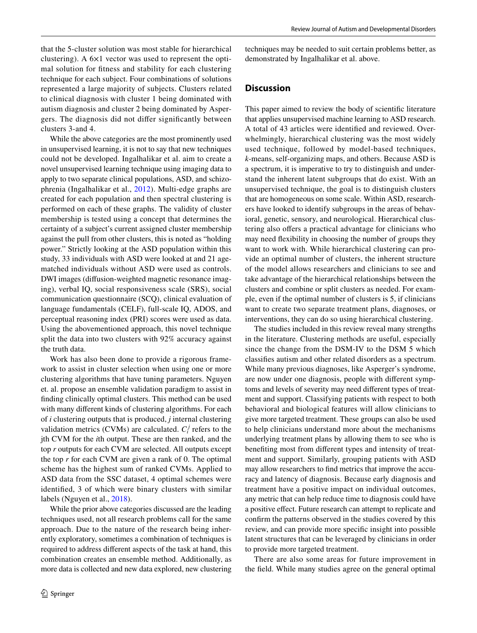that the 5-cluster solution was most stable for hierarchical clustering). A 6×1 vector was used to represent the optimal solution for ftness and stability for each clustering technique for each subject. Four combinations of solutions represented a large majority of subjects. Clusters related to clinical diagnosis with cluster 1 being dominated with autism diagnosis and cluster 2 being dominated by Aspergers. The diagnosis did not difer signifcantly between clusters 3-and 4.

While the above categories are the most prominently used in unsupervised learning, it is not to say that new techniques could not be developed. Ingalhalikar et al. aim to create a novel unsupervised learning technique using imaging data to apply to two separate clinical populations, ASD, and schizophrenia (Ingalhalikar et al., [2012](#page-16-28)). Multi-edge graphs are created for each population and then spectral clustering is performed on each of these graphs. The validity of cluster membership is tested using a concept that determines the certainty of a subject's current assigned cluster membership against the pull from other clusters, this is noted as "holding power." Strictly looking at the ASD population within this study, 33 individuals with ASD were looked at and 21 agematched individuals without ASD were used as controls. DWI images (difusion-weighted magnetic resonance imaging), verbal IQ, social responsiveness scale (SRS), social communication questionnaire (SCQ), clinical evaluation of language fundamentals (CELF), full-scale IQ, ADOS, and perceptual reasoning index (PRI) scores were used as data. Using the abovementioned approach, this novel technique split the data into two clusters with 92% accuracy against the truth data.

Work has also been done to provide a rigorous framework to assist in cluster selection when using one or more clustering algorithms that have tuning parameters. Nguyen et. al. propose an ensemble validation paradigm to assist in fnding clinically optimal clusters. This method can be used with many diferent kinds of clustering algorithms. For each of *i* clustering outputs that is produced, *j* internal clustering validation metrics (CVMs) are calculated.  $C_i^j$  refers to the jth CVM for the *i*th output. These are then ranked, and the top *r* outputs for each CVM are selected. All outputs except the top *r* for each CVM are given a rank of 0. The optimal scheme has the highest sum of ranked CVMs. Applied to ASD data from the SSC dataset, 4 optimal schemes were identifed, 3 of which were binary clusters with similar labels (Nguyen et al., [2018](#page-16-29)).

While the prior above categories discussed are the leading techniques used, not all research problems call for the same approach. Due to the nature of the research being inherently exploratory, sometimes a combination of techniques is required to address diferent aspects of the task at hand, this combination creates an ensemble method. Additionally, as more data is collected and new data explored, new clustering techniques may be needed to suit certain problems better, as demonstrated by Ingalhalikar et al. above.

#### **Discussion**

This paper aimed to review the body of scientifc literature that applies unsupervised machine learning to ASD research. A total of 43 articles were identifed and reviewed. Overwhelmingly, hierarchical clustering was the most widely used technique, followed by model-based techniques, *k*-means, self-organizing maps, and others. Because ASD is a spectrum, it is imperative to try to distinguish and understand the inherent latent subgroups that do exist. With an unsupervised technique, the goal is to distinguish clusters that are homogeneous on some scale. Within ASD, researchers have looked to identify subgroups in the areas of behavioral, genetic, sensory, and neurological. Hierarchical clustering also offers a practical advantage for clinicians who may need fexibility in choosing the number of groups they want to work with. While hierarchical clustering can provide an optimal number of clusters, the inherent structure of the model allows researchers and clinicians to see and take advantage of the hierarchical relationships between the clusters and combine or split clusters as needed. For example, even if the optimal number of clusters is 5, if clinicians want to create two separate treatment plans, diagnoses, or interventions, they can do so using hierarchical clustering.

The studies included in this review reveal many strengths in the literature. Clustering methods are useful, especially since the change from the DSM-IV to the DSM 5 which classifes autism and other related disorders as a spectrum. While many previous diagnoses, like Asperger's syndrome, are now under one diagnosis, people with diferent symptoms and levels of severity may need diferent types of treatment and support. Classifying patients with respect to both behavioral and biological features will allow clinicians to give more targeted treatment. These groups can also be used to help clinicians understand more about the mechanisms underlying treatment plans by allowing them to see who is benefting most from diferent types and intensity of treatment and support. Similarly, grouping patients with ASD may allow researchers to fnd metrics that improve the accuracy and latency of diagnosis. Because early diagnosis and treatment have a positive impact on individual outcomes, any metric that can help reduce time to diagnosis could have a positive efect. Future research can attempt to replicate and confrm the patterns observed in the studies covered by this review, and can provide more specifc insight into possible latent structures that can be leveraged by clinicians in order to provide more targeted treatment.

There are also some areas for future improvement in the feld. While many studies agree on the general optimal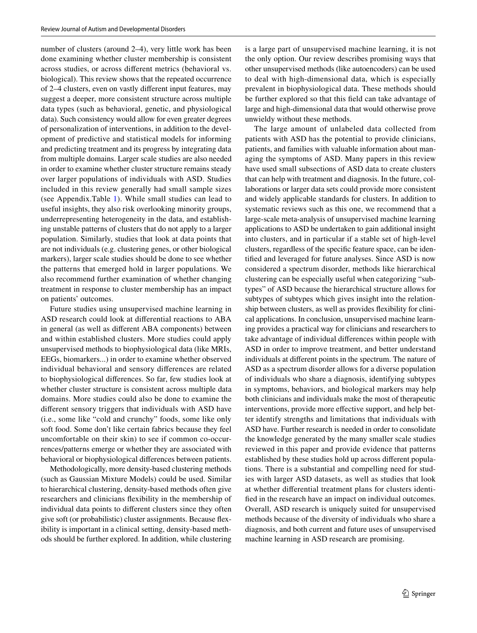number of clusters (around 2–4), very little work has been done examining whether cluster membership is consistent across studies, or across diferent metrics (behavioral vs. biological). This review shows that the repeated occurrence of 2–4 clusters, even on vastly diferent input features, may suggest a deeper, more consistent structure across multiple data types (such as behavioral, genetic, and physiological data). Such consistency would allow for even greater degrees of personalization of interventions, in addition to the development of predictive and statistical models for informing and predicting treatment and its progress by integrating data from multiple domains. Larger scale studies are also needed in order to examine whether cluster structure remains steady over larger populations of individuals with ASD. Studies included in this review generally had small sample sizes (see Appendix.Table [1\)](#page-14-0). While small studies can lead to useful insights, they also risk overlooking minority groups, underrepresenting heterogeneity in the data, and establishing unstable patterns of clusters that do not apply to a larger population. Similarly, studies that look at data points that are not individuals (e.g. clustering genes, or other biological markers), larger scale studies should be done to see whether the patterns that emerged hold in larger populations. We also recommend further examination of whether changing treatment in response to cluster membership has an impact on patients' outcomes.

Future studies using unsupervised machine learning in ASD research could look at diferential reactions to ABA in general (as well as diferent ABA components) between and within established clusters. More studies could apply unsupervised methods to biophysiological data (like MRIs, EEGs, biomarkers...) in order to examine whether observed individual behavioral and sensory diferences are related to biophysiological diferences. So far, few studies look at whether cluster structure is consistent across multiple data domains. More studies could also be done to examine the diferent sensory triggers that individuals with ASD have (i.e., some like "cold and crunchy" foods, some like only soft food. Some don't like certain fabrics because they feel uncomfortable on their skin) to see if common co-occurrences/patterns emerge or whether they are associated with behavioral or biophysiological diferences between patients.

Methodologically, more density-based clustering methods (such as Gaussian Mixture Models) could be used. Similar to hierarchical clustering, density-based methods often give researchers and clinicians fexibility in the membership of individual data points to diferent clusters since they often give soft (or probabilistic) cluster assignments. Because fexibility is important in a clinical setting, density-based methods should be further explored. In addition, while clustering is a large part of unsupervised machine learning, it is not the only option. Our review describes promising ways that other unsupervised methods (like autoencoders) can be used to deal with high-dimensional data, which is especially prevalent in biophysiological data. These methods should be further explored so that this feld can take advantage of large and high-dimensional data that would otherwise prove unwieldy without these methods.

The large amount of unlabeled data collected from patients with ASD has the potential to provide clinicians, patients, and families with valuable information about managing the symptoms of ASD. Many papers in this review have used small subsections of ASD data to create clusters that can help with treatment and diagnosis. In the future, collaborations or larger data sets could provide more consistent and widely applicable standards for clusters. In addition to systematic reviews such as this one, we recommend that a large-scale meta-analysis of unsupervised machine learning applications to ASD be undertaken to gain additional insight into clusters, and in particular if a stable set of high-level clusters, regardless of the specifc feature space, can be identifed and leveraged for future analyses. Since ASD is now considered a spectrum disorder, methods like hierarchical clustering can be especially useful when categorizing "subtypes" of ASD because the hierarchical structure allows for subtypes of subtypes which gives insight into the relationship between clusters, as well as provides fexibility for clinical applications. In conclusion, unsupervised machine learning provides a practical way for clinicians and researchers to take advantage of individual diferences within people with ASD in order to improve treatment, and better understand individuals at diferent points in the spectrum. The nature of ASD as a spectrum disorder allows for a diverse population of individuals who share a diagnosis, identifying subtypes in symptoms, behaviors, and biological markers may help both clinicians and individuals make the most of therapeutic interventions, provide more efective support, and help better identify strengths and limitations that individuals with ASD have. Further research is needed in order to consolidate the knowledge generated by the many smaller scale studies reviewed in this paper and provide evidence that patterns established by these studies hold up across diferent populations. There is a substantial and compelling need for studies with larger ASD datasets, as well as studies that look at whether diferential treatment plans for clusters identifed in the research have an impact on individual outcomes. Overall, ASD research is uniquely suited for unsupervised methods because of the diversity of individuals who share a diagnosis, and both current and future uses of unsupervised machine learning in ASD research are promising.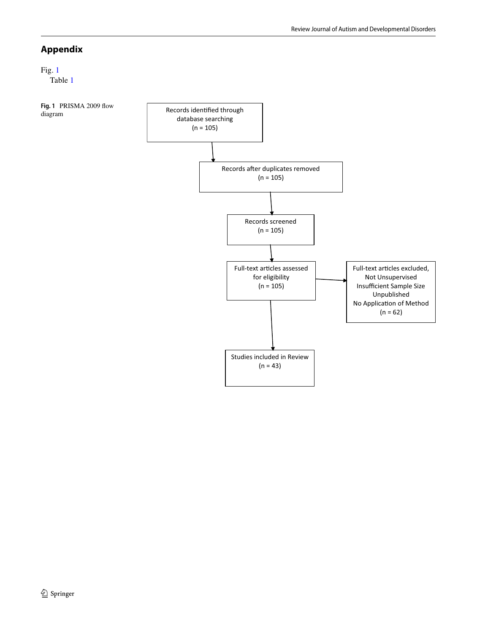### **Appendix**

## Fig. [1](#page-13-0)

Table [1](#page-14-0)

<span id="page-13-0"></span>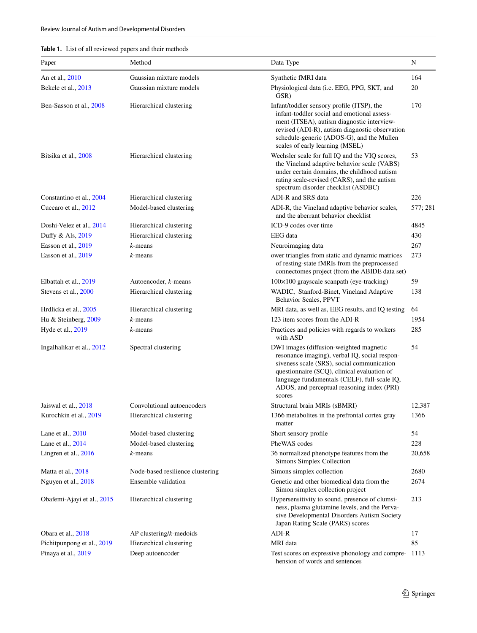| Review Journal of Autism and Developmental Disorders |  |
|------------------------------------------------------|--|
|------------------------------------------------------|--|

| <b>Table 1.</b> List of all reviewed papers and their methods |  |
|---------------------------------------------------------------|--|
|---------------------------------------------------------------|--|

| Paper                      | Method                           | Data Type                                                                                                                                                                                                                                                                                     | N        |
|----------------------------|----------------------------------|-----------------------------------------------------------------------------------------------------------------------------------------------------------------------------------------------------------------------------------------------------------------------------------------------|----------|
| An et al., 2010            | Gaussian mixture models          | Synthetic fMRI data                                                                                                                                                                                                                                                                           | 164      |
| Bekele et al., 2013        | Gaussian mixture models          | Physiological data (i.e. EEG, PPG, SKT, and<br>GSR)                                                                                                                                                                                                                                           | 20       |
| Ben-Sasson et al., 2008    | Hierarchical clustering          | Infant/toddler sensory profile (ITSP), the<br>infant-toddler social and emotional assess-<br>ment (ITSEA), autism diagnostic interview-<br>revised (ADI-R), autism diagnostic observation<br>schedule-generic (ADOS-G), and the Mullen<br>scales of early learning (MSEL)                     | 170      |
| Bitsika et al., 2008       | Hierarchical clustering          | Wechsler scale for full IQ and the VIQ scores,<br>the Vineland adaptive behavior scale (VABS)<br>under certain domains, the childhood autism<br>rating scale-revised (CARS), and the autism<br>spectrum disorder checklist (ASDBC)                                                            | 53       |
| Constantino et al., 2004   | Hierarchical clustering          | ADI-R and SRS data                                                                                                                                                                                                                                                                            | 226      |
| Cuccaro et al., 2012       | Model-based clustering           | ADI-R, the Vineland adaptive behavior scales,<br>and the aberrant behavior checklist                                                                                                                                                                                                          | 577; 281 |
| Doshi-Velez et al., 2014   | Hierarchical clustering          | ICD-9 codes over time                                                                                                                                                                                                                                                                         | 4845     |
| Duffy & Als, 2019          | Hierarchical clustering          | EEG data                                                                                                                                                                                                                                                                                      | 430      |
| Easson et al., 2019        | $k$ -means                       | Neuroimaging data                                                                                                                                                                                                                                                                             | 267      |
| Easson et al., 2019        | $k$ -means                       | ower triangles from static and dynamic matrices<br>of resting-state fMRIs from the preprocessed<br>connectomes project (from the ABIDE data set)                                                                                                                                              | 273      |
| Elbattah et al., 2019      | Autoencoder, k-means             | $100\times100$ grayscale scanpath (eye-tracking)                                                                                                                                                                                                                                              | 59       |
| Stevens et al., 2000       | Hierarchical clustering          | WADIC, Stanford-Binet, Vineland Adaptive<br>Behavior Scales, PPVT                                                                                                                                                                                                                             | 138      |
| Hrdlicka et al., 2005      | Hierarchical clustering          | MRI data, as well as, EEG results, and IQ testing                                                                                                                                                                                                                                             | 64       |
| Hu & Steinberg, 2009       | $k$ -means                       | 123 item scores from the ADI-R                                                                                                                                                                                                                                                                | 1954     |
| Hyde et al., 2019          | $k$ -means                       | Practices and policies with regards to workers<br>with ASD                                                                                                                                                                                                                                    | 285      |
| Ingalhalikar et al., 2012  | Spectral clustering              | DWI images (diffusion-weighted magnetic<br>resonance imaging), verbal IQ, social respon-<br>siveness scale (SRS), social communication<br>questionnaire (SCQ), clinical evaluation of<br>language fundamentals (CELF), full-scale IQ,<br>ADOS, and perceptual reasoning index (PRI)<br>scores | 54       |
| Jaiswal et al., 2018       | Convolutional autoencoders       | Structural brain MRIs (sBMRI)                                                                                                                                                                                                                                                                 | 12,387   |
| Kurochkin et al., 2019     | Hierarchical clustering          | 1366 metabolites in the prefrontal cortex gray<br>matter                                                                                                                                                                                                                                      | 1366     |
| Lane et al., $2010$        | Model-based clustering           | Short sensory profile                                                                                                                                                                                                                                                                         | 54       |
| Lane et al., 2014          | Model-based clustering           | PheWAS codes                                                                                                                                                                                                                                                                                  | 228      |
| Lingren et al., $2016$     | $k$ -means                       | 36 normalized phenotype features from the<br>Simons Simplex Collection                                                                                                                                                                                                                        | 20,658   |
| Matta et al., 2018         | Node-based resilience clustering | Simons simplex collection                                                                                                                                                                                                                                                                     | 2680     |
| Nguyen et al., 2018        | Ensemble validation              | Genetic and other biomedical data from the<br>Simon simplex collection project                                                                                                                                                                                                                | 2674     |
| Obafemi-Ajayi et al., 2015 | Hierarchical clustering          | Hypersensitivity to sound, presence of clumsi-<br>ness, plasma glutamine levels, and the Perva-<br>sive Developmental Disorders Autism Society<br>Japan Rating Scale (PARS) scores                                                                                                            | 213      |
| Obara et al., 2018         | $AP$ clustering/ $k$ -medoids    | ADI-R                                                                                                                                                                                                                                                                                         | 17       |
| Pichitpunpong et al., 2019 | Hierarchical clustering          | MRI data                                                                                                                                                                                                                                                                                      | 85       |
| Pinaya et al., 2019        | Deep autoencoder                 | Test scores on expressive phonology and compre-1113<br>hension of words and sentences                                                                                                                                                                                                         |          |

## <span id="page-14-0"></span>**Table 1.** List of all reviewed papers and their methods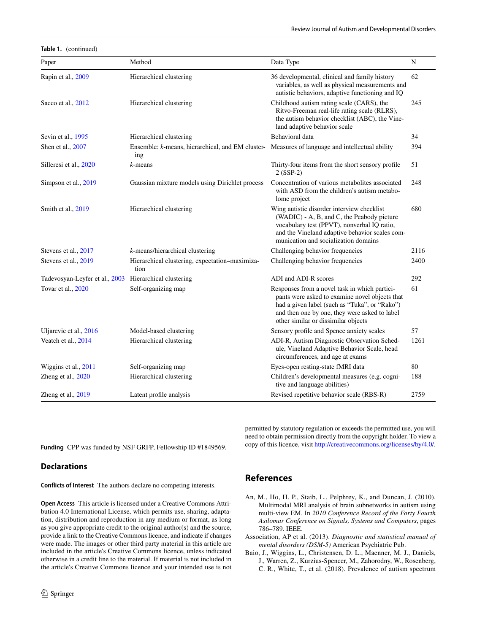**Table 1.** (continued)

| Paper                                                  | Method                                                  | Data Type                                                                                                                                                                                                                                | N    |
|--------------------------------------------------------|---------------------------------------------------------|------------------------------------------------------------------------------------------------------------------------------------------------------------------------------------------------------------------------------------------|------|
| Rapin et al., 2009                                     | Hierarchical clustering                                 | 36 developmental, clinical and family history<br>variables, as well as physical measurements and<br>autistic behaviors, adaptive functioning and IQ                                                                                      | 62   |
| Sacco et al., 2012                                     | Hierarchical clustering                                 | Childhood autism rating scale (CARS), the<br>Ritvo-Freeman real-life rating scale (RLRS),<br>the autism behavior checklist (ABC), the Vine-<br>land adaptive behavior scale                                                              | 245  |
| Sevin et al., 1995                                     | Hierarchical clustering                                 | Behavioral data                                                                                                                                                                                                                          | 34   |
| Shen et al., 2007                                      | Ensemble: k-means, hierarchical, and EM cluster-<br>ing | Measures of language and intellectual ability                                                                                                                                                                                            | 394  |
| Silleresi et al., 2020                                 | $k$ -means                                              | Thirty-four items from the short sensory profile<br>$2 (SSP-2)$                                                                                                                                                                          | 51   |
| Simpson et al., 2019                                   | Gaussian mixture models using Dirichlet process         | Concentration of various metabolites associated<br>with ASD from the children's autism metabo-<br>lome project                                                                                                                           | 248  |
| Smith et al., 2019                                     | Hierarchical clustering                                 | Wing autistic disorder interview checklist<br>(WADIC) - A, B, and C, the Peabody picture<br>vocabulary test (PPVT), nonverbal IQ ratio,<br>and the Vineland adaptive behavior scales com-<br>munication and socialization domains        | 680  |
| Stevens et al., 2017                                   | k-means/hierarchical clustering                         | Challenging behavior frequencies                                                                                                                                                                                                         | 2116 |
| Stevens et al., 2019                                   | Hierarchical clustering, expectation-maximiza-<br>tion  | Challenging behavior frequencies                                                                                                                                                                                                         | 2400 |
| Tadevosyan-Leyfer et al., 2003 Hierarchical clustering |                                                         | ADI and ADI-R scores                                                                                                                                                                                                                     | 292  |
| Tovar et al., 2020                                     | Self-organizing map                                     | Responses from a novel task in which partici-<br>pants were asked to examine novel objects that<br>had a given label (such as "Tuka", or "Rako")<br>and then one by one, they were asked to label<br>other similar or dissimilar objects | 61   |
| Uljarevic et al., 2016                                 | Model-based clustering                                  | Sensory profile and Spence anxiety scales                                                                                                                                                                                                | 57   |
| Veatch et al., 2014                                    | Hierarchical clustering                                 | ADI-R, Autism Diagnostic Observation Sched-<br>ule, Vineland Adaptive Behavior Scale, head<br>circumferences, and age at exams                                                                                                           | 1261 |
| Wiggins et al., 2011                                   | Self-organizing map                                     | Eyes-open resting-state fMRI data                                                                                                                                                                                                        | 80   |
| Zheng et al., 2020                                     | Hierarchical clustering                                 | Children's developmental measures (e.g. cogni-<br>tive and language abilities)                                                                                                                                                           | 188  |
| Zheng et al., 2019                                     | Latent profile analysis                                 | Revised repetitive behavior scale (RBS-R)                                                                                                                                                                                                | 2759 |

**Funding** CPP was funded by NSF GRFP, Fellowship ID #1849569.

#### **Declarations**

**Conflicts of Interest** The authors declare no competing interests.

**Open Access** This article is licensed under a Creative Commons Attribution 4.0 International License, which permits use, sharing, adaptation, distribution and reproduction in any medium or format, as long as you give appropriate credit to the original author(s) and the source, provide a link to the Creative Commons licence, and indicate if changes were made. The images or other third party material in this article are included in the article's Creative Commons licence, unless indicated otherwise in a credit line to the material. If material is not included in the article's Creative Commons licence and your intended use is not permitted by statutory regulation or exceeds the permitted use, you will need to obtain permission directly from the copyright holder. To view a copy of this licence, visit<http://creativecommons.org/licenses/by/4.0/>.

#### **References**

- <span id="page-15-2"></span>An, M., Ho, H. P., Staib, L., Pelphrey, K., and Duncan, J. (2010). Multimodal MRI analysis of brain subnetworks in autism using multi-view EM. In *2010 Conference Record of the Forty Fourth Asilomar Conference on Signals, Systems and Computers*, pages 786–789. IEEE.
- <span id="page-15-0"></span>Association, AP et al. (2013). *Diagnostic and statistical manual of mental disorders (DSM-5)* American Psychiatric Pub.
- <span id="page-15-1"></span>Baio, J., Wiggins, L., Christensen, D. L., Maenner, M. J., Daniels, J., Warren, Z., Kurzius-Spencer, M., Zahorodny, W., Rosenberg, C. R., White, T., et al. (2018). Prevalence of autism spectrum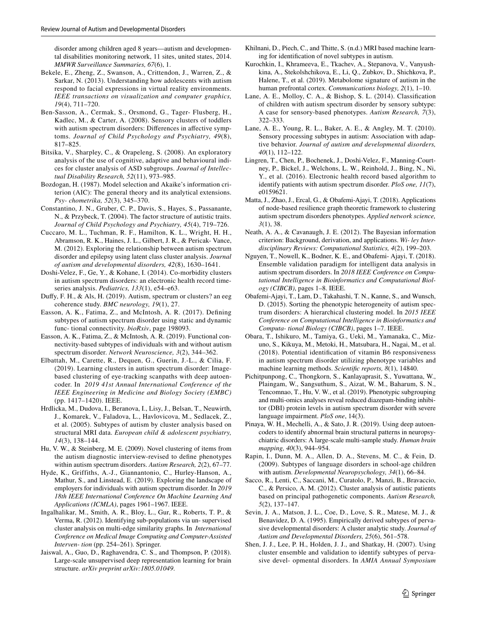disorder among children aged 8 years—autism and developmental disabilities monitoring network, 11 sites, united states, 2014. *MMWR Surveillance Summaries, 67*(6), 1.

- <span id="page-16-19"></span>Bekele, E., Zheng, Z., Swanson, A., Crittendon, J., Warren, Z., & Sarkar, N. (2013). Understanding how adolescents with autism respond to facial expressions in virtual reality environments. *IEEE transactions on visualization and computer graphics, 19*(4), 711–720.
- <span id="page-16-10"></span>Ben-Sasson, A., Cermak, S., Orsmond, G., Tager- Flusberg, H., Kadlec, M., & Carter, A. (2008). Sensory clusters of toddlers with autism spectrum disorders: Differences in affective symptoms. *Journal of Child Psychology and Psychiatry, 49*(8), 817–825.
- <span id="page-16-12"></span>Bitsika, V., Sharpley, C., & Orapeleng, S. (2008). An exploratory analysis of the use of cognitive, adaptive and behavioural indices for cluster analysis of ASD subgroups. *Journal of Intellectual Disability Research, 52*(11), 973–985.
- <span id="page-16-1"></span>Bozdogan, H. (1987). Model selection and Akaike's information criterion (AIC): The general theory and its analytical extensions. *Psy- chometrika, 52*(3), 345–370.
- <span id="page-16-11"></span>Constantino, J. N., Gruber, C. P., Davis, S., Hayes, S., Passanante, N., & Przybeck, T. (2004). The factor structure of autistic traits. *Journal of Child Psychology and Psychiatry, 45*(4), 719–726.
- <span id="page-16-22"></span>Cuccaro, M. L., Tuchman, R. F., Hamilton, K. L., Wright, H. H., Abramson, R. K., Haines, J. L., Gilbert, J. R., & Pericak- Vance, M. (2012). Exploring the relationship between autism spectrum disorder and epilepsy using latent class cluster analysis. *Journal of autism and developmental disorders, 42*(8), 1630–1641.
- <span id="page-16-13"></span>Doshi-Velez, F., Ge, Y., & Kohane, I. (2014). Co-morbidity clusters in autism spectrum disorders: an electronic health record timeseries analysis. *Pediatrics, 133*(1), e54–e63.
- <span id="page-16-18"></span>Dufy, F. H., & Als, H. (2019). Autism, spectrum or clusters? an eeg coherence study. *BMC neurology, 19*(1), 27.
- <span id="page-16-4"></span>Easson, A. K., Fatima, Z., and McIntosh, A. R. (2017). Defning subtypes of autism spectrum disorder using static and dynamic func- tional connectivity. *bioRxiv*, page 198093.
- <span id="page-16-6"></span>Easson, A. K., Fatima, Z., & McIntosh, A. R. (2019). Functional connectivity-based subtypes of individuals with and without autism spectrum disorder. *Network Neuroscience, 3*(2), 344–362.
- <span id="page-16-26"></span>Elbattah, M., Carette, R., Dequen, G., Guerin, J.-L., & Cilia, F. (2019). Learning clusters in autism spectrum disorder: Imagebased clustering of eye-tracking scanpaths with deep autoencoder. In *2019 41st Annual International Conference of the IEEE Engineering in Medicine and Biology Society (EMBC)* (pp. 1417–1420). IEEE.
- <span id="page-16-30"></span>Hrdlicka, M., Dudova, I., Beranova, I., Lisy, J., Belsan, T., Neuwirth, J., Komarek, V., Faladova, L., Havlovicova, M., Sedlacek, Z., et al. (2005). Subtypes of autism by cluster analysis based on structural MRI data. *European child & adolescent psychiatry, 14*(3), 138–144.
- <span id="page-16-3"></span>Hu, V. W., & Steinberg, M. E. (2009). Novel clustering of items from the autism diagnostic interview-revised to defne phenotypes within autism spectrum disorders. *Autism Research, 2*(2), 67–77.
- <span id="page-16-7"></span>Hyde, K., Griffiths, A.-J., Giannantonio, C., Hurley-Hanson, A., Mathur, S., and Linstead, E. (2019). Exploring the landscape of employers for individuals with autism spectrum disorder. In *2019 18th IEEE International Conference On Machine Learning And Applications (ICMLA)*, pages 1961–1967. IEEE.
- <span id="page-16-28"></span>Ingalhalikar, M., Smith, A. R., Bloy, L., Gur, R., Roberts, T. P., & Verma, R. (2012). Identifying sub-populations via un- supervised cluster analysis on multi-edge similarity graphs. In *International Conference on Medical Image Computing and Computer-Assisted Interven- tion* (pp. 254–261). Springer.
- <span id="page-16-24"></span>Jaiswal, A., Guo, D., Raghavendra, C. S., and Thompson, P. (2018). Large-scale unsupervised deep representation learning for brain structure. *arXiv preprint arXiv:1805.01049*.
- Khilnani, D., Piech, C., and Thitte, S. (n.d.) MRI based machine learning for identifcation of novel subtypes in autism.
- <span id="page-16-17"></span>Kurochkin, I., Khrameeva, E., Tkachev, A., Stepanova, V., Vanyushkina, A., Stekolshchikova, E., Li, Q., Zubkov, D., Shichkova, P., Halene, T., et al. (2019). Metabolome signature of autism in the human prefrontal cortex. *Communications biology, 2*(1), 1–10.
- <span id="page-16-21"></span>Lane, A. E., Molloy, C. A., & Bishop, S. L. (2014). Classifcation of children with autism spectrum disorder by sensory subtype: A case for sensory-based phenotypes. *Autism Research, 7*(3), 322–333.
- <span id="page-16-20"></span>Lane, A. E., Young, R. L., Baker, A. E., & Angley, M. T. (2010). Sensory processing subtypes in autism: Association with adaptive behavior. *Journal of autism and developmental disorders, 40*(1), 112–122.
- <span id="page-16-2"></span>Lingren, T., Chen, P., Bochenek, J., Doshi-Velez, F., Manning-Courtney, P., Bickel, J., Welchons, L. W., Reinhold, J., Bing, N., Ni, Y., et al. (2016). Electronic health record based algorithm to identify patients with autism spectrum disorder. *PloS one, 11*(7), e0159621.
- <span id="page-16-23"></span>Matta, J., Zhao, J., Ercal, G., & Obafemi-Ajayi, T. (2018). Applications of node-based resilience graph theoretic framework to clustering autism spectrum disorders phenotypes. *Applied network science, 3*(1), 38.
- <span id="page-16-0"></span>Neath, A. A., & Cavanaugh, J. E. (2012). The Bayesian information criterion: Background, derivation, and applications. *Wi- ley Interdisciplinary Reviews: Computational Statistics, 4*(2), 199–203.
- <span id="page-16-29"></span>Nguyen, T., Nowell, K., Bodner, K. E., and Obafemi- Ajayi, T. (2018). Ensemble validation paradigm for intelligent data analysis in autism spectrum disorders. In *2018 IEEE Conference on Computational Intelligence in Bioinformatics and Computational Biology (CIBCB)*, pages 1–8. IEEE.
- <span id="page-16-16"></span>Obafemi-Ajayi, T., Lam, D., Takahashi, T. N., Kanne, S., and Wunsch, D. (2015). Sorting the phenotypic heterogeneity of autism spectrum disorders: A hierarchical clustering model. In *2015 IEEE Conference on Computational Intelligence in Bioinformatics and Computa- tional Biology (CIBCB)*, pages 1–7. IEEE.
- <span id="page-16-5"></span>Obara, T., Ishikuro, M., Tamiya, G., Ueki, M., Yamanaka, C., Mizuno, S., Kikuya, M., Metoki, H., Matsubara, H., Nagai, M., et al. (2018). Potential identifcation of vitamin B6 responsiveness in autism spectrum disorder utilizing phenotype variables and machine learning methods. *Scientifc reports, 8*(1), 14840.
- <span id="page-16-15"></span>Pichitpunpong, C., Thongkorn, S., Kanlayaprasit, S., Yuwattana, W., Plaingam, W., Sangsuthum, S., Aizat, W. M., Baharum, S. N., Tencomnao, T., Hu, V. W., et al. (2019). Phenotypic subgrouping and multi-omics analyses reveal reduced diazepam-binding inhibitor (DBI) protein levels in autism spectrum disorder with severe language impairment. *PloS one*, 14(3).
- <span id="page-16-25"></span>Pinaya, W. H., Mechelli, A., & Sato, J. R. (2019). Using deep autoencoders to identify abnormal brain structural patterns in neuropsychiatric disorders: A large-scale multi-sample study. *Human brain mapping, 40*(3), 944–954.
- <span id="page-16-14"></span>Rapin, I., Dunn, M. A., Allen, D. A., Stevens, M. C., & Fein, D. (2009). Subtypes of language disorders in school-age children with autism. *Developmental Neuropsychology, 34*(1), 66–84.
- <span id="page-16-8"></span>Sacco, R., Lenti, C., Saccani, M., Curatolo, P., Manzi, B., Bravaccio, C., & Persico, A. M. (2012). Cluster analysis of autistic patients based on principal pathogenetic components. *Autism Research, 5*(2), 137–147.
- <span id="page-16-9"></span>Sevin, J. A., Matson, J. L., Coe, D., Love, S. R., Matese, M. J., & Benavidez, D. A. (1995). Empirically derived subtypes of pervasive developmental disorders: A cluster analytic study. *Journal of Autism and Developmental Disorders, 25*(6), 561–578.
- <span id="page-16-27"></span>Shen, J. J., Lee, P. H., Holden, J. J., and Shatkay, H. (2007). Using cluster ensemble and validation to identify subtypes of pervasive devel- opmental disorders. In *AMIA Annual Symposium*